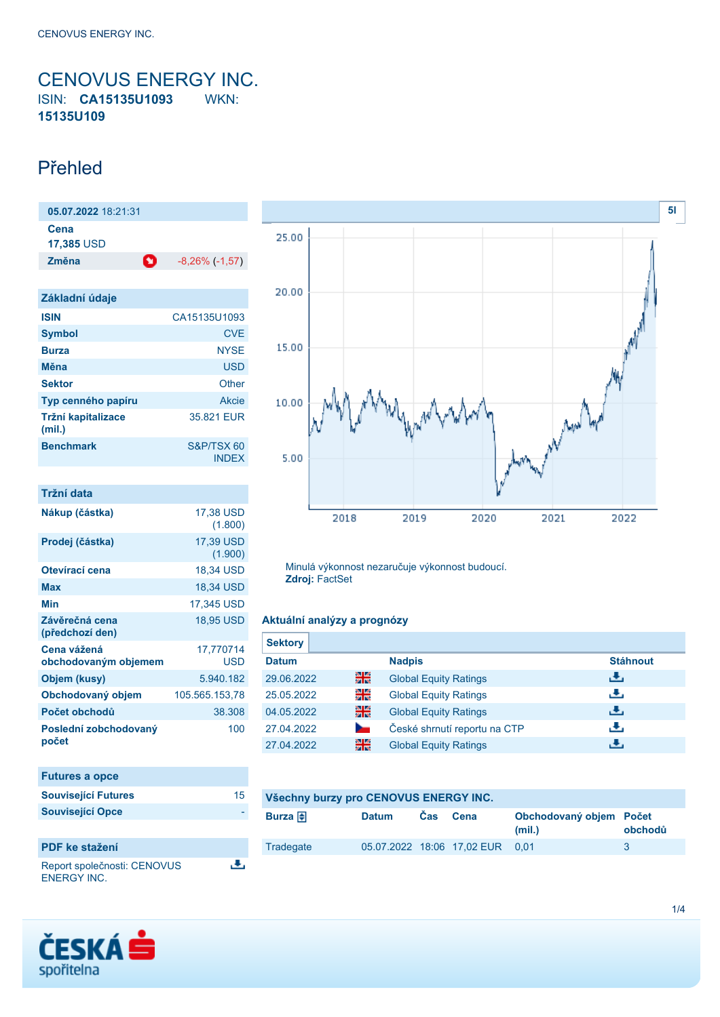## <span id="page-0-0"></span>CENOVUS ENERGY INC. ISIN: **CA15135U1093** WKN: **15135U109**

## Přehled

| 05.07.2022 18:21:31 |   |                       |
|---------------------|---|-----------------------|
| Cena<br>17,385 USD  |   |                       |
| Změna               | o | $-8,26\%$ ( $-1,57$ ) |

| Základní údaje               |                            |
|------------------------------|----------------------------|
| <b>ISIN</b>                  | CA15135U1093               |
| <b>Symbol</b>                | <b>CVE</b>                 |
| <b>Burza</b>                 | <b>NYSE</b>                |
| Měna                         | <b>USD</b>                 |
| <b>Sektor</b>                | Other                      |
| Typ cenného papíru           | Akcie                      |
| Tržní kapitalizace<br>(mil.) | 35.821 EUR                 |
| <b>Benchmark</b>             | S&P/TSX 60<br><b>INDEX</b> |

| Tržní data                          |                         |
|-------------------------------------|-------------------------|
| Nákup (částka)                      | 17,38 USD<br>(1.800)    |
| Prodej (částka)                     | 17,39 USD<br>(1.900)    |
| Otevírací cena                      | 18.34 USD               |
| Max                                 | 18,34 USD               |
| Min                                 | 17,345 USD              |
| Závěrečná cena<br>(předchozí den)   | <b>18.95 USD</b>        |
| Cena vážená<br>obchodovaným objemem | 17,770714<br><b>USD</b> |
| Objem (kusy)                        | 5.940.182               |
| Obchodovaný objem                   | 105.565.153,78          |
| Počet obchodů                       | 38.308                  |
| Poslední zobchodovaný<br>počet      | 100                     |

| <b>Futures a opce</b>      |    |
|----------------------------|----|
| <b>Související Futures</b> | 15 |
| <b>Související Opce</b>    |    |
|                            |    |

區

### **PDF ke stažení**

Report společnosti: CENOVUS ENERGY INC.



Minulá výkonnost nezaručuje výkonnost budoucí. **Zdroj:** FactSet

### **Aktuální analýzy a prognózy**

| <b>Sektory</b> |        |                              |                 |
|----------------|--------|------------------------------|-----------------|
| <b>Datum</b>   |        | <b>Nadpis</b>                | <b>Stáhnout</b> |
| 29.06.2022     | 을중     | <b>Global Equity Ratings</b> | رالى            |
| 25.05.2022     | 읡      | <b>Global Equity Ratings</b> | رنان            |
| 04.05.2022     | 을중     | <b>Global Equity Ratings</b> | رالى            |
| 27.04.2022     | $\sim$ | České shrnutí reportu na CTP | رنان            |
| 27.04.2022     | 을중     | <b>Global Equity Ratings</b> | ٠₩,             |

| Všechny burzy pro CENOVUS ENERGY INC. |              |            |                                 |                                   |         |
|---------------------------------------|--------------|------------|---------------------------------|-----------------------------------|---------|
| Burza $\bigoplus$                     | <b>Datum</b> | <b>Cas</b> | Cena                            | Obchodovaný objem Počet<br>(mil.) | obchodů |
| Tradegate                             |              |            | 05.07.2022 18:06 17.02 EUR 0.01 |                                   | 3       |

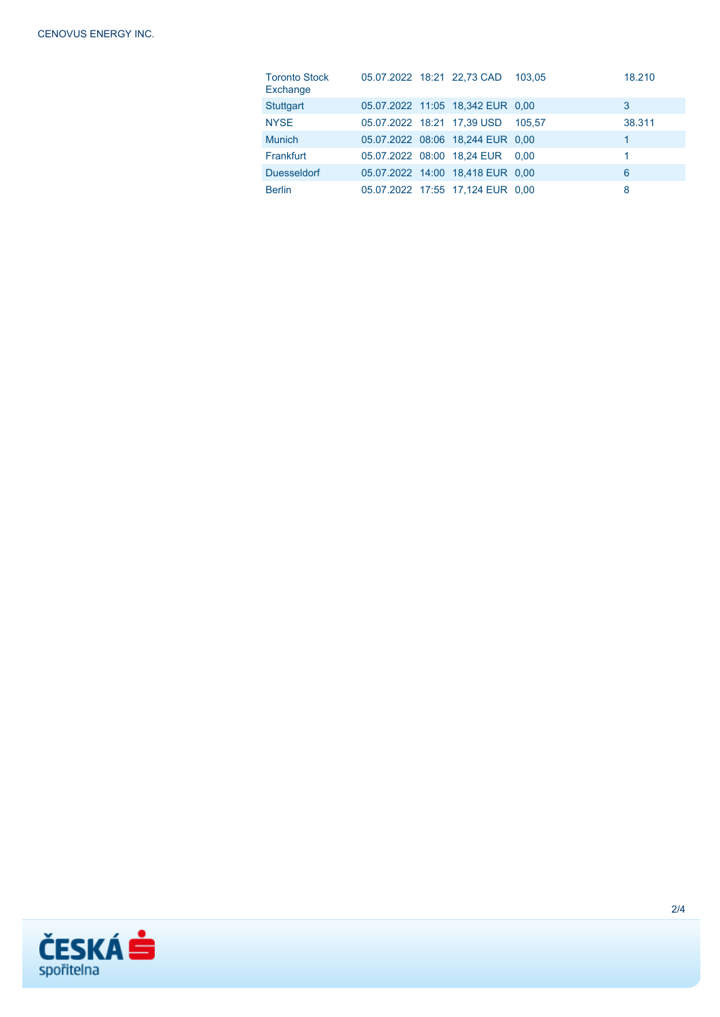| <b>Toronto Stock</b><br>Exchange |  | 05.07.2022 18:21 22,73 CAD       | 103.05 | 18.210 |
|----------------------------------|--|----------------------------------|--------|--------|
| <b>Stuttgart</b>                 |  | 05.07.2022 11:05 18,342 EUR 0.00 |        | 3      |
| <b>NYSE</b>                      |  | 05.07.2022 18:21 17,39 USD       | 105.57 | 38.311 |
| <b>Munich</b>                    |  | 05.07.2022 08:06 18,244 EUR 0,00 |        | 1      |
| Frankfurt                        |  | 05.07.2022 08:00 18,24 EUR 0,00  |        | 1      |
| <b>Duesseldorf</b>               |  | 05.07.2022 14:00 18,418 EUR 0,00 |        | 6      |
| <b>Berlin</b>                    |  | 05.07.2022 17:55 17,124 EUR 0.00 |        | 8      |

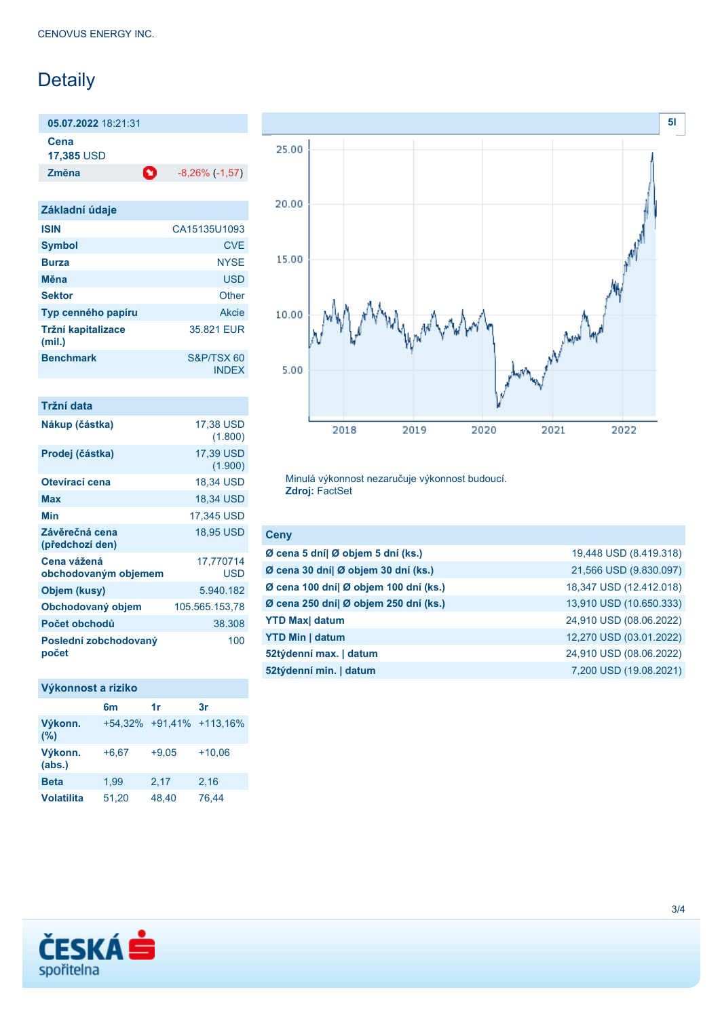# Detaily

**05.07.2022** 18:21:31 **Cena**

**17,385** USD

**Změna** -8,26% (-1,57)

| Základní údaje               |                            |
|------------------------------|----------------------------|
| <b>ISIN</b>                  | CA15135U1093               |
| <b>Symbol</b>                | <b>CVE</b>                 |
| <b>Burza</b>                 | <b>NYSE</b>                |
| Měna                         | <b>USD</b>                 |
| <b>Sektor</b>                | Other                      |
| Typ cenného papíru           | Akcie                      |
| Tržní kapitalizace<br>(mil.) | 35.821 EUR                 |
| <b>Benchmark</b>             | S&P/TSX 60<br><b>INDEX</b> |

| Tržní data                          |                      |
|-------------------------------------|----------------------|
| Nákup (částka)                      | 17,38 USD<br>(1.800) |
| Prodej (částka)                     | 17,39 USD<br>(1.900) |
| Otevírací cena                      | 18.34 USD            |
| Max                                 | 18,34 USD            |
| Min                                 | 17,345 USD           |
| Závěrečná cena<br>(předchozí den)   | <b>18,95 USD</b>     |
| Cena vážená<br>obchodovaným objemem | 17,770714<br>USD     |
| Objem (kusy)                        | 5.940.182            |
| Obchodovaný objem                   | 105.565.153,78       |
| Počet obchodů                       | 38.308               |
| Poslední zobchodovaný<br>počet      | 100                  |

## **Výkonnost a riziko**

|                   | 6m      | 1r      | 3r                       |
|-------------------|---------|---------|--------------------------|
| Výkonn.<br>$(\%)$ |         |         | +54,32% +91,41% +113,16% |
| Výkonn.<br>(abs.) | $+6.67$ | $+9.05$ | $+10.06$                 |
| <b>Beta</b>       | 1,99    | 2,17    | 2,16                     |
| <b>Volatilita</b> | 51,20   | 48,40   | 76.44                    |



Minulá výkonnost nezaručuje výkonnost budoucí. **Zdroj:** FactSet

| <b>Ceny</b>                           |                         |
|---------------------------------------|-------------------------|
| Ø cena 5 dní  Ø objem 5 dní (ks.)     | 19,448 USD (8.419.318)  |
| Ø cena 30 dní  Ø objem 30 dní (ks.)   | 21,566 USD (9.830.097)  |
| Ø cena 100 dní  Ø objem 100 dní (ks.) | 18,347 USD (12.412.018) |
| Ø cena 250 dní  Ø objem 250 dní (ks.) | 13,910 USD (10.650.333) |
| <b>YTD Max</b> datum                  | 24,910 USD (08.06.2022) |
| <b>YTD Min   datum</b>                | 12,270 USD (03.01.2022) |
| 52týdenní max.   datum                | 24,910 USD (08.06.2022) |
| 52týdenní min.   datum                | 7,200 USD (19.08.2021)  |
|                                       |                         |